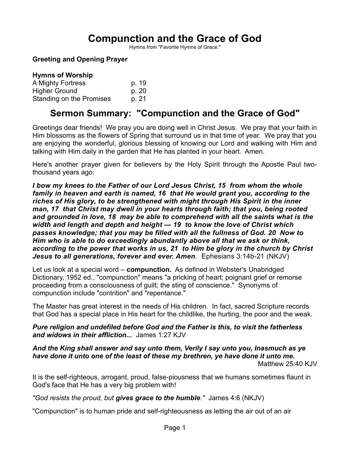# **Compunction and the Grace of God**

Hymns from "Favorite Hymns of Grace."

### **Greeting and Opening Prayer**

| <b>Hymns of Worship</b>  |       |
|--------------------------|-------|
| A Mighty Fortress        | p. 19 |
| <b>Higher Ground</b>     | p. 20 |
| Standing on the Promises | p. 21 |

## **Sermon Summary: "Compunction and the Grace of God"**

Greetings dear friends! We pray you are doing well in Christ Jesus. We pray that your faith in Him blossoms as the flowers of Spring that surround us in that time of year. We pray that you are enjoying the wonderful, glorious blessing of knowing our Lord and walking with Him and talking with Him daily in the garden that He has planted in your heart. Amen.

Here's another prayer given for believers by the Holy Spirit through the Apostle Paul twothousand years ago:

*I bow my knees to the Father of our Lord Jesus Christ, 15 from whom the whole family in heaven and earth is named, 16 that He would grant you, according to the riches of His glory, to be strengthened with might through His Spirit in the inner man, 17 that Christ may dwell in your hearts through faith; that you, being rooted and grounded in love, 18 may be able to comprehend with all the saints what is the width and length and depth and height — 19 to know the love of Christ which passes knowledge; that you may be filled with all the fullness of God. 20 Now to Him who is able to do exceedingly abundantly above all that we ask or think, according to the power that works in us, 21 to Him be glory in the church by Christ Jesus to all generations, forever and ever. Amen.* Ephesians 3:14b-21 (NKJV)

Let us look at a special word – **compunction.** As defined in Webster's Unabridged Dictionary, 1952 ed., "compunction" means "a pricking of heart; poignant grief or remorse proceeding from a consciousness of guilt; the sting of conscience." Synonyms of compunction include "contrition" and "repentance."

The Master has great interest in the needs of His children. In fact, sacred Scripture records that God has a special place in His heart for the childlike, the hurting, the poor and the weak.

### *Pure religion and undefiled before God and the Father is this, to visit the fatherless and widows in their affliction...* James 1:27 KJV

*And the King shall answer and say unto them, Verily I say unto you, Inasmuch as ye have done it unto one of the least of these my brethren, ye have done it unto me.* Matthew 25:40 KJV

It is the self-righteous, arrogant, proud, false-piousness that we humans sometimes flaunt in God's face that He has a very big problem with!

*"God resists the proud, but gives grace to the humble."* James 4:6 (NKJV)

"Compunction" is to human pride and self-righteousness as letting the air out of an air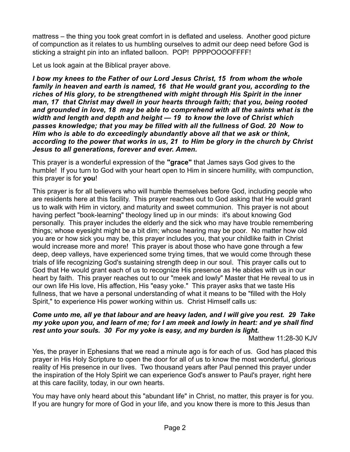mattress – the thing you took great comfort in is deflated and useless. Another good picture of compunction as it relates to us humbling ourselves to admit our deep need before God is sticking a straight pin into an inflated balloon. POP! PPPPOOOOFFFF!

Let us look again at the Biblical prayer above.

*I bow my knees to the Father of our Lord Jesus Christ, 15 from whom the whole family in heaven and earth is named, 16 that He would grant you, according to the riches of His glory, to be strengthened with might through His Spirit in the inner man, 17 that Christ may dwell in your hearts through faith; that you, being rooted and grounded in love, 18 may be able to comprehend with all the saints what is the width and length and depth and height — 19 to know the love of Christ which passes knowledge; that you may be filled with all the fullness of God. 20 Now to Him who is able to do exceedingly abundantly above all that we ask or think, according to the power that works in us, 21 to Him be glory in the church by Christ Jesus to all generations, forever and ever. Amen.* 

This prayer is a wonderful expression of the **"grace"** that James says God gives to the humble! If you turn to God with your heart open to Him in sincere humility, with compunction, this prayer is for **you**!

This prayer is for all believers who will humble themselves before God, including people who are residents here at this facility. This prayer reaches out to God asking that He would grant us to walk with Him in victory, and maturity and sweet communion. This prayer is not about having perfect "book-learning" theology lined up in our minds: it's about knowing God personally. This prayer includes the elderly and the sick who may have trouble remembering things; whose eyesight might be a bit dim; whose hearing may be poor. No matter how old you are or how sick you may be, this prayer includes you, that your childlike faith in Christ would increase more and more! This prayer is about those who have gone through a few deep, deep valleys, have experienced some trying times, that we would come through these trials of life recognizing God's sustaining strength deep in our soul. This prayer calls out to God that He would grant each of us to recognize His presence as He abides with us in our heart by faith. This prayer reaches out to our "meek and lowly" Master that He reveal to us in our own life His love, His affection, His "easy yoke." This prayer asks that we taste His fullness, that we have a personal understanding of what it means to be "filled with the Holy Spirit," to experience His power working within us. Christ Himself calls us:

### *Come unto me, all ye that labour and are heavy laden, and I will give you rest. 29 Take my yoke upon you, and learn of me; for I am meek and lowly in heart: and ye shall find rest unto your souls. 30 For my yoke is easy, and my burden is light.*

Matthew 11:28-30 KJV

Yes, the prayer in Ephesians that we read a minute ago is for each of us. God has placed this prayer in His Holy Scripture to open the door for all of us to know the most wonderful, glorious reality of His presence in our lives. Two thousand years after Paul penned this prayer under the inspiration of the Holy Spirit we can experience God's answer to Paul's prayer, right here at this care facility, today, in our own hearts.

You may have only heard about this "abundant life" in Christ, no matter, this prayer is for you. If you are hungry for more of God in your life, and you know there is more to this Jesus than